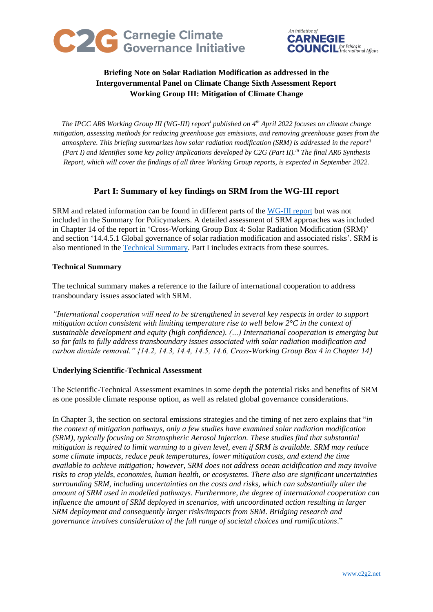



# **Briefing Note on Solar Radiation Modification as addressed in the Intergovernmental Panel on Climate Change Sixth Assessment Report Working Group III: Mitigation of Climate Change**

*The IPCC AR6 Working Group III (WG-III) report<sup>i</sup> published on 4 th April 2022 focuses on climate change mitigation, assessing methods for reducing greenhouse gas emissions, and removing greenhouse gases from the atmosphere. This briefing summarizes how solar radiation modification (SRM) is addressed in the reportii (Part I) and identifies some key policy implications developed by C2G (Part II). iii The final AR6 Synthesis Report, which will cover the findings of all three Working Group reports, is expected in September 2022.*

## **Part I: Summary of key findings on SRM from the WG-III report**

SRM and related information can be found in different parts of the [WG-III report](https://www.ipcc.ch/report/ar6/wg3/) but was not included in the Summary for Policymakers. A detailed assessment of SRM approaches was included in Chapter 14 of the report in 'Cross-Working Group Box 4: Solar Radiation Modification (SRM)' and section '14.4.5.1 Global governance of solar radiation modification and associated risks'. SRM is also mentioned in the [Technical Summary.](https://www.ipcc.ch/report/ar6/wg3/) Part I includes extracts from these sources.

## **Technical Summary**

The technical summary makes a reference to the failure of international cooperation to address transboundary issues associated with SRM.

*"International cooperation will need to be strengthened in several key respects in order to support mitigation action consistent with limiting temperature rise to well below 2°C in the context of sustainable development and equity (high confidence). (…) International cooperation is emerging but so far fails to fully address transboundary issues associated with solar radiation modification and carbon dioxide removal." {14.2, 14.3, 14.4, 14.5, 14.6, Cross-Working Group Box 4 in Chapter 14}*

### **Underlying Scientific-Technical Assessment**

The Scientific-Technical Assessment examines in some depth the potential risks and benefits of SRM as one possible climate response option, as well as related global governance considerations.

In Chapter 3, the section on sectoral emissions strategies and the timing of net zero explains that "*in the context of mitigation pathways, only a few studies have examined solar radiation modification (SRM), typically focusing on Stratospheric Aerosol Injection. These studies find that substantial mitigation is required to limit warming to a given level, even if SRM is available. SRM may reduce some climate impacts, reduce peak temperatures, lower mitigation costs, and extend the time available to achieve mitigation; however, SRM does not address ocean acidification and may involve risks to crop yields, economies, human health, or ecosystems. There also are significant uncertainties surrounding SRM, including uncertainties on the costs and risks, which can substantially alter the amount of SRM used in modelled pathways. Furthermore, the degree of international cooperation can influence the amount of SRM deployed in scenarios, with uncoordinated action resulting in larger SRM deployment and consequently larger risks/impacts from SRM. Bridging research and governance involves consideration of the full range of societal choices and ramifications*."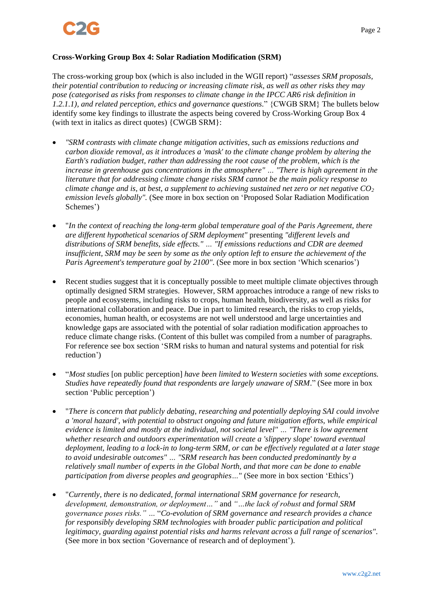### **Cross-Working Group Box 4: Solar Radiation Modification (SRM)**

The cross-working group box (which is also included in the WGII report) "*assesses SRM proposals, their potential contribution to reducing or increasing climate risk, as well as other risks they may pose (categorised as risks from responses to climate change in the IPCC AR6 risk definition in 1.2.1.1), and related perception, ethics and governance questions.*" {CWGB SRM} The bullets below identify some key findings to illustrate the aspects being covered by Cross-Working Group Box 4 (with text in italics as direct quotes) {CWGB SRM}:

- *"SRM contrasts with climate change mitigation activities, such as emissions reductions and carbon dioxide removal, as it introduces a 'mask' to the climate change problem by altering the Earth's radiation budget, rather than addressing the root cause of the problem, which is the increase in greenhouse gas concentrations in the atmosphere" … "There is high agreement in the literature that for addressing climate change risks SRM cannot be the main policy response to climate change and is, at best, a supplement to achieving sustained net zero or net negative CO<sup>2</sup> emission levels globally".* (See more in box section on 'Proposed Solar Radiation Modification Schemes')
- "*In the context of reaching the long-term global temperature goal of the Paris Agreement, there are different hypothetical scenarios of SRM deployment"* presenting *"different levels and distributions of SRM benefits, side effects." … "If emissions reductions and CDR are deemed insufficient, SRM may be seen by some as the only option left to ensure the achievement of the Paris Agreement's temperature goal by 2100"*. (See more in box section 'Which scenarios')
- Recent studies suggest that it is conceptually possible to meet multiple climate objectives through optimally designed SRM strategies. However, SRM approaches introduce a range of new risks to people and ecosystems, including risks to crops, human health, biodiversity, as well as risks for international collaboration and peace. Due in part to limited research, the risks to crop yields, economies, human health, or ecosystems are not well understood and large uncertainties and knowledge gaps are associated with the potential of solar radiation modification approaches to reduce climate change risks. (Content of this bullet was compiled from a number of paragraphs. For reference see box section 'SRM risks to human and natural systems and potential for risk reduction')
- "*Most studies* [on public perception] *have been limited to Western societies with some exceptions. Studies have repeatedly found that respondents are largely unaware of SRM*." (See more in box section 'Public perception')
- "*There is concern that publicly debating, researching and potentially deploying SAI could involve a 'moral hazard', with potential to obstruct ongoing and future mitigation efforts, while empirical evidence is limited and mostly at the individual, not societal level" … "There is low agreement whether research and outdoors experimentation will create a 'slippery slope' toward eventual deployment, leading to a lock-in to long-term SRM, or can be effectively regulated at a later stage to avoid undesirable outcomes" … "SRM research has been conducted predominantly by a relatively small number of experts in the Global North, and that more can be done to enable participation from diverse peoples and geographies…*" (See more in box section 'Ethics')
- "*Currently, there is no dedicated, formal international SRM governance for research, development, demonstration, or deployment…"* and *"…the lack of robust and formal SRM governance poses risks." …* "*Co-evolution of SRM governance and research provides a chance for responsibly developing SRM technologies with broader public participation and political legitimacy, guarding against potential risks and harms relevant across a full range of scenarios"*. (See more in box section 'Governance of research and of deployment').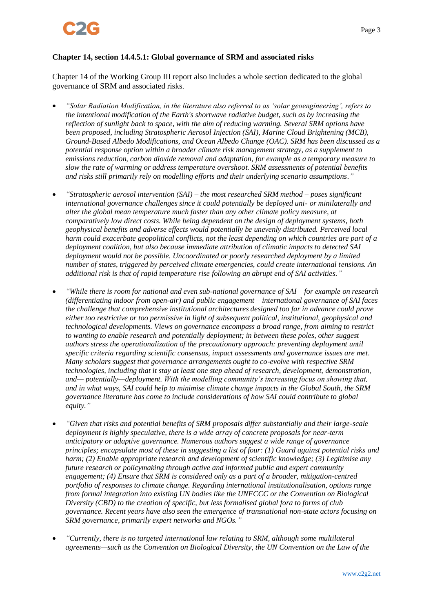

### **Chapter 14, section 14.4.5.1: Global governance of SRM and associated risks**

Chapter 14 of the Working Group III report also includes a whole section dedicated to the global governance of SRM and associated risks.

- *"Solar Radiation Modification, in the literature also referred to as 'solar geoengineering', refers to the intentional modification of the Earth's shortwave radiative budget, such as by increasing the reflection of sunlight back to space, with the aim of reducing warming. Several SRM options have been proposed, including Stratospheric Aerosol Injection (SAI), Marine Cloud Brightening (MCB), Ground-Based Albedo Modifications, and Ocean Albedo Change (OAC). SRM has been discussed as a potential response option within a broader climate risk management strategy, as a supplement to emissions reduction, carbon dioxide removal and adaptation, for example as a temporary measure to slow the rate of warming or address temperature overshoot. SRM assessments of potential benefits and risks still primarily rely on modelling efforts and their underlying scenario assumptions."*
- *"Stratospheric aerosol intervention (SAI) – the most researched SRM method – poses significant international governance challenges since it could potentially be deployed uni- or minilaterally and alter the global mean temperature much faster than any other climate policy measure, at comparatively low direct costs. While being dependent on the design of deployment systems, both geophysical benefits and adverse effects would potentially be unevenly distributed. Perceived local harm could exacerbate geopolitical conflicts, not the least depending on which countries are part of a deployment coalition, but also because immediate attribution of climatic impacts to detected SAI deployment would not be possible. Uncoordinated or poorly researched deployment by a limited number of states, triggered by perceived climate emergencies, could create international tensions. An additional risk is that of rapid temperature rise following an abrupt end of SAI activities."*
- *"While there is room for national and even sub-national governance of SAI – for example on research (differentiating indoor from open-air) and public engagement – international governance of SAI faces the challenge that comprehensive institutional architectures designed too far in advance could prove either too restrictive or too permissive in light of subsequent political, institutional, geophysical and technological developments. Views on governance encompass a broad range, from aiming to restrict to wanting to enable research and potentially deployment; in between these poles, other suggest authors stress the operationalization of the precautionary approach: preventing deployment until specific criteria regarding scientific consensus, impact assessments and governance issues are met. Many scholars suggest that governance arrangements ought to co-evolve with respective SRM technologies, including that it stay at least one step ahead of research, development, demonstration, and— potentially—deployment. With the modelling community's increasing focus on showing that, and in what ways, SAI could help to minimise climate change impacts in the Global South, the SRM governance literature has come to include considerations of how SAI could contribute to global equity."*
- *"Given that risks and potential benefits of SRM proposals differ substantially and their large-scale deployment is highly speculative, there is a wide array of concrete proposals for near-term anticipatory or adaptive governance. Numerous authors suggest a wide range of governance principles; encapsulate most of these in suggesting a list of four: (1) Guard against potential risks and harm; (2) Enable appropriate research and development of scientific knowledge; (3) Legitimise any future research or policymaking through active and informed public and expert community engagement; (4) Ensure that SRM is considered only as a part of a broader, mitigation-centred portfolio of responses to climate change. Regarding international institutionalisation, options range from formal integration into existing UN bodies like the UNFCCC or the Convention on Biological Diversity (CBD) to the creation of specific, but less formalised global fora to forms of club governance. Recent years have also seen the emergence of transnational non-state actors focusing on SRM governance, primarily expert networks and NGOs."*
- *"Currently, there is no targeted international law relating to SRM, although some multilateral agreements—such as the Convention on Biological Diversity, the UN Convention on the Law of the*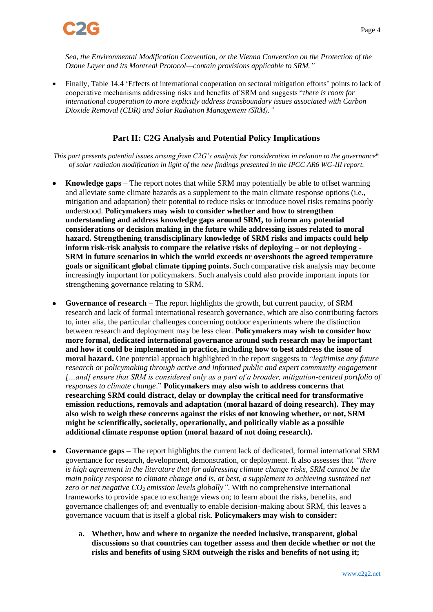

*Sea, the Environmental Modification Convention, or the Vienna Convention on the Protection of the Ozone Layer and its Montreal Protocol—contain provisions applicable to SRM."*

• Finally, Table 14.4 'Effects of international cooperation on sectoral mitigation efforts' points to lack of cooperative mechanisms addressing risks and benefits of SRM and suggests "*there is room for international cooperation to more explicitly address transboundary issues associated with Carbon Dioxide Removal (CDR) and Solar Radiation Management (SRM)."*

## **Part II: C2G Analysis and Potential Policy Implications**

*This part presents potential issues arising from C2G's analysis for consideration in relation to the governanceiv of solar radiation modification in light of the new findings presented in the IPCC AR6 WG-III report.*

- **Knowledge gaps** The report notes that while SRM may potentially be able to offset warming and alleviate some climate hazards as a supplement to the main climate response options (i.e., mitigation and adaptation) their potential to reduce risks or introduce novel risks remains poorly understood. **Policymakers may wish to consider whether and how to strengthen understanding and address knowledge gaps around SRM, to inform any potential considerations or decision making in the future while addressing issues related to moral hazard. Strengthening transdisciplinary knowledge of SRM risks and impacts could help inform risk-risk analysis to compare the relative risks of deploying – or not deploying - SRM in future scenarios in which the world exceeds or overshoots the agreed temperature goals or significant global climate tipping points.** Such comparative risk analysis may become increasingly important for policymakers. Such analysis could also provide important inputs for strengthening governance relating to SRM.
- **Governance of research** The report highlights the growth, but current paucity, of SRM research and lack of formal international research governance, which are also contributing factors to, inter alia, the particular challenges concerning outdoor experiments where the distinction between research and deployment may be less clear. **Policymakers may wish to consider how more formal, dedicated international governance around such research may be important and how it could be implemented in practice, including how to best address the issue of moral hazard.** One potential approach highlighted in the report suggests to "*legitimise any future research or policymaking through active and informed public and expert community engagement […and] ensure that SRM is considered only as a part of a broader, mitigation-centred portfolio of responses to climate change*." **Policymakers may also wish to address concerns that researching SRM could distract, delay or downplay the critical need for transformative emission reductions, removals and adaptation (moral hazard of doing research). They may also wish to weigh these concerns against the risks of not knowing whether, or not, SRM might be scientifically, societally, operationally, and politically viable as a possible additional climate response option (moral hazard of not doing research).**
- **Governance gaps** The report highlights the current lack of dedicated, formal international SRM governance for research, development, demonstration, or deployment. It also assesses that *"there is high agreement in the literature that for addressing climate change risks, SRM cannot be the main policy response to climate change and is, at best, a supplement to achieving sustained net zero or net negative CO<sup>2</sup> emission levels globally"*. With no comprehensive international frameworks to provide space to exchange views on; to learn about the risks, benefits, and governance challenges of; and eventually to enable decision-making about SRM, this leaves a governance vacuum that is itself a global risk. **Policymakers may wish to consider:**
	- **a. Whether, how and where to organize the needed inclusive, transparent, global discussions so that countries can together assess and then decide whether or not the risks and benefits of using SRM outweigh the risks and benefits of not using it;**